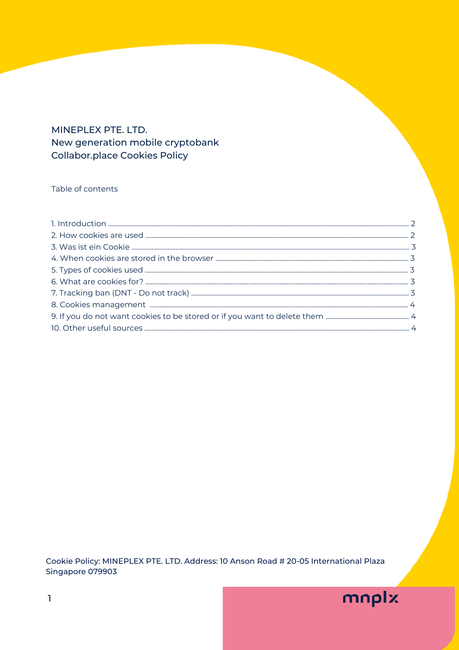# MINEPLEX PTE. LTD. New generation mobile cryptobank **Collabor.place Cookies Policy**

## Table of contents

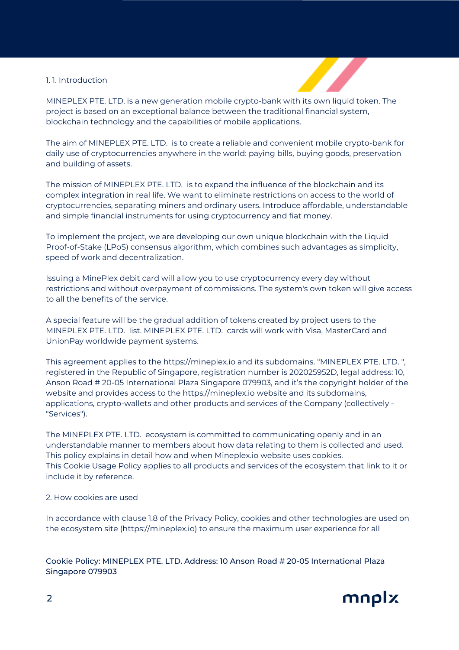## 1. 1. Introduction



MINEPLEX PTE. LTD. is a new generation mobile crypto-bank with its own liquid token. The project is based on an exceptional balance between the traditional financial system, blockchain technology and the capabilities of mobile applications.

The aim of MINEPLEX PTE. LTD. is to create a reliable and convenient mobile crypto-bank for daily use of cryptocurrencies anywhere in the world: paying bills, buying goods, preservation and building of assets.

The mission of MINEPLEX PTE. LTD. is to expand the influence of the blockchain and its complex integration in real life. We want to eliminate restrictions on access to the world of cryptocurrencies, separating miners and ordinary users. Introduce affordable, understandable and simple financial instruments for using cryptocurrency and fiat money.

To implement the project, we are developing our own unique blockchain with the Liquid Proof-of-Stake (LPoS) consensus algorithm, which combines such advantages as simplicity, speed of work and decentralization.

Issuing a MinePlex debit card will allow you to use cryptocurrency every day without restrictions and without overpayment of commissions. The system's own token will give access to all the benefits of the service.

A special feature will be the gradual addition of tokens created by project users to the MINEPLEX PTE. LTD. list. MINEPLEX PTE. LTD. cards will work with Visa, MasterCard and UnionPay worldwide payment systems.

This agreement applies to the [https://mineplex.io](https://mineplex.io/) and its subdomains. "MINEPLEX PTE. LTD. ", registered in the Republic of Singapore, registration number is 202025952D, legal address: 10, Anson Road # 20-05 International Plaza Singapore 079903, and it's the copyright holder of the website and provides access to the https://mineplex.io website and its subdomains, applications, crypto-wallets and other products and services of the Company (collectively - "Services").

The MINEPLEX PTE. LTD. ecosystem is committed to communicating openly and in an understandable manner to members about how data relating to them is collected and used. This policy explains in detail how and when Mineplex.io website uses cookies. This Cookie Usage Policy applies to all products and services of the ecosystem that link to it or include it by reference.

## 2. How cookies are used

In accordance with clause 1.8 of the Privacy Policy, cookies and other technologies are used on the ecosystem site (https://mineplex.io) to ensure the maximum user experience for all

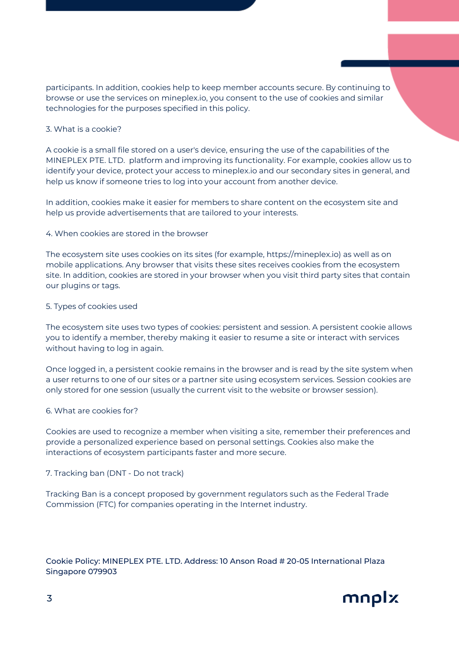participants. In addition, cookies help to keep member accounts secure. By continuing to browse or use the services on mineplex.io, you consent to the use of cookies and similar technologies for the purposes specified in this policy.

## 3. What is a cookie?

A cookie is a small file stored on a user's device, ensuring the use of the capabilities of the MINEPLEX PTE. LTD. platform and improving its functionality. For example, cookies allow us to identify your device, protect your access to mineplex.io and our secondary sites in general, and help us know if someone tries to log into your account from another device.

In addition, cookies make it easier for members to share content on the ecosystem site and help us provide advertisements that are tailored to your interests.

### 4. When cookies are stored in the browser

The ecosystem site uses cookies on its sites (for example, [https://mineplex.io](https://mineplex.io/)) as well as on mobile applications. Any browser that visits these sites receives cookies from the ecosystem site. In addition, cookies are stored in your browser when you visit third party sites that contain our plugins or tags.

### 5. Types of cookies used

The ecosystem site uses two types of cookies: persistent and session. A persistent cookie allows you to identify a member, thereby making it easier to resume a site or interact with services without having to log in again.

Once logged in, a persistent cookie remains in the browser and is read by the site system when a user returns to one of our sites or a partner site using ecosystem services. Session cookies are only stored for one session (usually the current visit to the website or browser session).

### 6. What are cookies for?

Cookies are used to recognize a member when visiting a site, remember their preferences and provide a personalized experience based on personal settings. Cookies also make the interactions of ecosystem participants faster and more secure.

### 7. Tracking ban (DNT - Do not track)

Tracking Ban is a concept proposed by government regulators such as the Federal Trade Commission (FTC) for companies operating in the Internet industry.

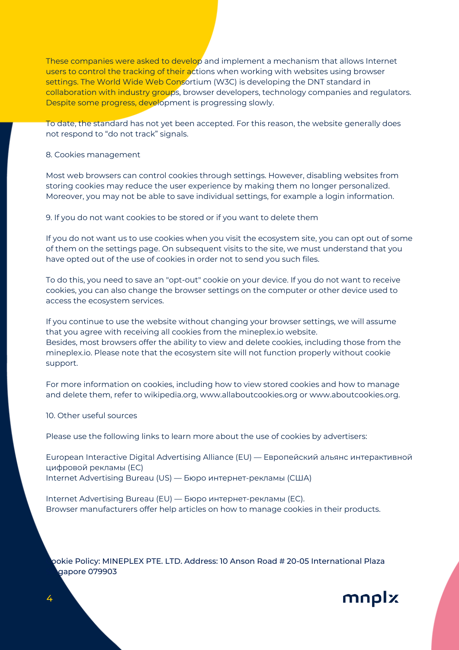These companies were asked to develop and implement a mechanism that allows Internet users to control the tracking of their actions when working with websites using browser settings. The World Wide Web Consortium (W3C) is developing the DNT standard in collaboration with industry groups, browser developers, technology companies and regulators. Despite some progress, development is progressing slowly.

To date, the standard has not yet been accepted. For this reason, the website generally does not respond to "do not track" signals.

#### 8. Cookies management

Most web browsers can control cookies through settings. However, disabling websites from storing cookies may reduce the user experience by making them no longer personalized. Moreover, you may not be able to save individual settings, for example a login information.

9. If you do not want cookies to be stored or if you want to delete them

If you do not want us to use cookies when you visit the ecosystem site, you can opt out of some of them on the settings page. On subsequent visits to the site, we must understand that you have opted out of the use of cookies in order not to send you such files.

To do this, you need to save an "opt-out" cookie on your device. If you do not want to receive cookies, you can also change the browser settings on the computer or other device used to access the ecosystem services.

If you continue to use the website without changing your browser settings, we will assume that you agree with receiving all cookies from the mineplex.io website. Besides, most browsers offer the ability to view and delete cookies, including those from the mineplex.io. Please note that the ecosystem site will not function properly without cookie support.

For more information on cookies, including how to view stored cookies and how to manage and delete them, refer to wikipedia.org, [www.allaboutcookies.org](http://www.allaboutcookies.org/) or [www.aboutcookies.org](http://www.aboutcookies.org/).

### 10. Other useful sources

Please use the following links to learn more about the use of cookies by advertisers:

European Interactive Digital Advertising Alliance (EU) — Европейский альянс интерактивной цифровой рекламы (ЕС) Internet Advertising Bureau (US) — Бюро интернет-рекламы (США)

Internet Advertising Bureau (EU) — Бюро интернет-рекламы (ЕС). Browser manufacturers offer help articles on how to manage cookies in their products.